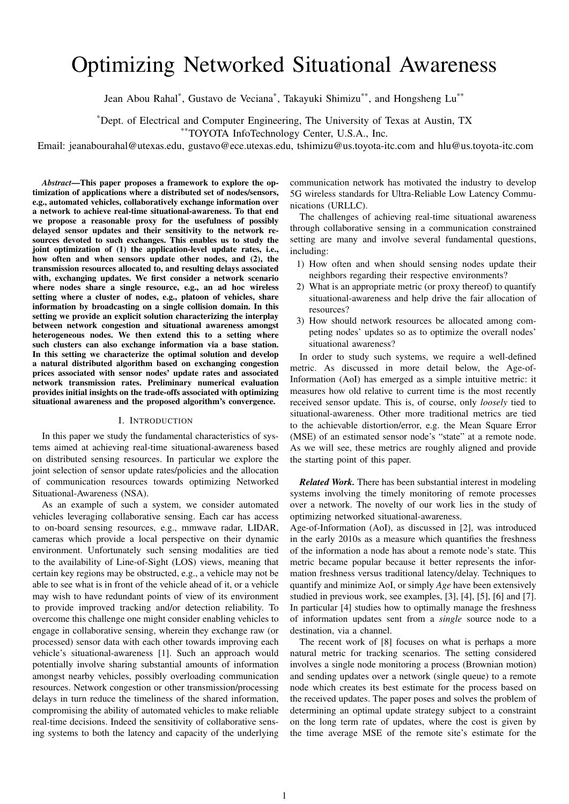# Optimizing Networked Situational Awareness

Jean Abou Rahal\*, Gustavo de Veciana\*, Takayuki Shimizu\*\*, and Hongsheng Lu\*\*

\*Dept. of Electrical and Computer Engineering, The University of Texas at Austin, TX

\*\*TOYOTA InfoTechnology Center, U.S.A., Inc.

Email: jeanabourahal@utexas.edu, gustavo@ece.utexas.edu, tshimizu@us.toyota-itc.com and hlu@us.toyota-itc.com

*Abstract*—This paper proposes a framework to explore the optimization of applications where a distributed set of nodes/sensors, e.g., automated vehicles, collaboratively exchange information over a network to achieve real-time situational-awareness. To that end we propose a reasonable proxy for the usefulness of possibly delayed sensor updates and their sensitivity to the network resources devoted to such exchanges. This enables us to study the joint optimization of (1) the application-level update rates, i.e., how often and when sensors update other nodes, and (2), the transmission resources allocated to, and resulting delays associated with, exchanging updates. We first consider a network scenario where nodes share a single resource, e.g., an ad hoc wireless setting where a cluster of nodes, e.g., platoon of vehicles, share information by broadcasting on a single collision domain. In this setting we provide an explicit solution characterizing the interplay between network congestion and situational awareness amongst heterogeneous nodes. We then extend this to a setting where such clusters can also exchange information via a base station. In this setting we characterize the optimal solution and develop a natural distributed algorithm based on exchanging congestion prices associated with sensor nodes' update rates and associated network transmission rates. Preliminary numerical evaluation provides initial insights on the trade-offs associated with optimizing situational awareness and the proposed algorithm's convergence.

#### I. INTRODUCTION

In this paper we study the fundamental characteristics of systems aimed at achieving real-time situational-awareness based on distributed sensing resources. In particular we explore the joint selection of sensor update rates/policies and the allocation of communication resources towards optimizing Networked Situational-Awareness (NSA).

As an example of such a system, we consider automated vehicles leveraging collaborative sensing. Each car has access to on-board sensing resources, e.g., mmwave radar, LIDAR, cameras which provide a local perspective on their dynamic environment. Unfortunately such sensing modalities are tied to the availability of Line-of-Sight (LOS) views, meaning that certain key regions may be obstructed, e.g., a vehicle may not be able to see what is in front of the vehicle ahead of it, or a vehicle may wish to have redundant points of view of its environment to provide improved tracking and/or detection reliability. To overcome this challenge one might consider enabling vehicles to engage in collaborative sensing, wherein they exchange raw (or processed) sensor data with each other towards improving each vehicle's situational-awareness [1]. Such an approach would potentially involve sharing substantial amounts of information amongst nearby vehicles, possibly overloading communication resources. Network congestion or other transmission/processing delays in turn reduce the timeliness of the shared information, compromising the ability of automated vehicles to make reliable real-time decisions. Indeed the sensitivity of collaborative sensing systems to both the latency and capacity of the underlying

communication network has motivated the industry to develop 5G wireless standards for Ultra-Reliable Low Latency Communications (URLLC).

The challenges of achieving real-time situational awareness through collaborative sensing in a communication constrained setting are many and involve several fundamental questions, including:

- 1) How often and when should sensing nodes update their neighbors regarding their respective environments?
- 2) What is an appropriate metric (or proxy thereof) to quantify situational-awareness and help drive the fair allocation of resources?
- 3) How should network resources be allocated among competing nodes' updates so as to optimize the overall nodes' situational awareness?

In order to study such systems, we require a well-defined metric. As discussed in more detail below, the Age-of-Information (AoI) has emerged as a simple intuitive metric: it measures how old relative to current time is the most recently received sensor update. This is, of course, only *loosely* tied to situational-awareness. Other more traditional metrics are tied to the achievable distortion/error, e.g. the Mean Square Error (MSE) of an estimated sensor node's "state" at a remote node. As we will see, these metrics are roughly aligned and provide the starting point of this paper.

*Related Work.* There has been substantial interest in modeling systems involving the timely monitoring of remote processes over a network. The novelty of our work lies in the study of optimizing networked situational-awareness.

Age-of-Information (AoI), as discussed in [2], was introduced in the early 2010s as a measure which quantifies the freshness of the information a node has about a remote node's state. This metric became popular because it better represents the information freshness versus traditional latency/delay. Techniques to quantify and minimize AoI, or simply *Age* have been extensively studied in previous work, see examples, [3], [4], [5], [6] and [7]. In particular [4] studies how to optimally manage the freshness of information updates sent from a *single* source node to a destination, via a channel.

The recent work of [8] focuses on what is perhaps a more natural metric for tracking scenarios. The setting considered involves a single node monitoring a process (Brownian motion) and sending updates over a network (single queue) to a remote node which creates its best estimate for the process based on the received updates. The paper poses and solves the problem of determining an optimal update strategy subject to a constraint on the long term rate of updates, where the cost is given by the time average MSE of the remote site's estimate for the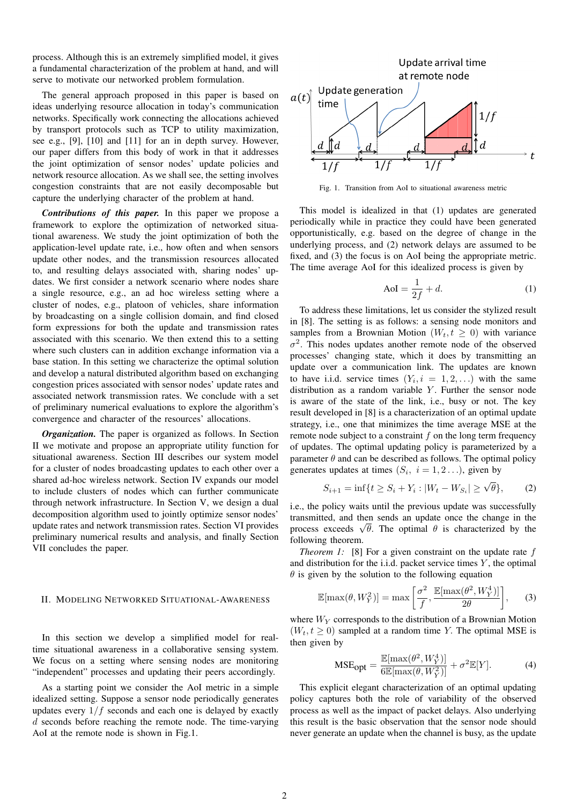process. Although this is an extremely simplified model, it gives a fundamental characterization of the problem at hand, and will serve to motivate our networked problem formulation.

The general approach proposed in this paper is based on ideas underlying resource allocation in today's communication networks. Specifically work connecting the allocations achieved by transport protocols such as TCP to utility maximization, see e.g., [9], [10] and [11] for an in depth survey. However, our paper differs from this body of work in that it addresses the joint optimization of sensor nodes' update policies and network resource allocation. As we shall see, the setting involves congestion constraints that are not easily decomposable but capture the underlying character of the problem at hand.

*Contributions of this paper.* In this paper we propose a framework to explore the optimization of networked situational awareness. We study the joint optimization of both the application-level update rate, i.e., how often and when sensors update other nodes, and the transmission resources allocated to, and resulting delays associated with, sharing nodes' updates. We first consider a network scenario where nodes share a single resource, e.g., an ad hoc wireless setting where a cluster of nodes, e.g., platoon of vehicles, share information by broadcasting on a single collision domain, and find closed form expressions for both the update and transmission rates associated with this scenario. We then extend this to a setting where such clusters can in addition exchange information via a base station. In this setting we characterize the optimal solution and develop a natural distributed algorithm based on exchanging congestion prices associated with sensor nodes' update rates and associated network transmission rates. We conclude with a set of preliminary numerical evaluations to explore the algorithm's convergence and character of the resources' allocations.

*Organization.* The paper is organized as follows. In Section II we motivate and propose an appropriate utility function for situational awareness. Section III describes our system model for a cluster of nodes broadcasting updates to each other over a shared ad-hoc wireless network. Section IV expands our model to include clusters of nodes which can further communicate through network infrastructure. In Section V, we design a dual decomposition algorithm used to jointly optimize sensor nodes' update rates and network transmission rates. Section VI provides preliminary numerical results and analysis, and finally Section VII concludes the paper.

### II. MODELING NETWORKED SITUATIONAL-AWARENESS

In this section we develop a simplified model for realtime situational awareness in a collaborative sensing system. We focus on a setting where sensing nodes are monitoring "independent" processes and updating their peers accordingly.

As a starting point we consider the AoI metric in a simple idealized setting. Suppose a sensor node periodically generates updates every  $1/f$  seconds and each one is delayed by exactly d seconds before reaching the remote node. The time-varying AoI at the remote node is shown in Fig.1.



Fig. 1. Transition from AoI to situational awareness metric

This model is idealized in that (1) updates are generated periodically while in practice they could have been generated opportunistically, e.g. based on the degree of change in the underlying process, and (2) network delays are assumed to be fixed, and (3) the focus is on AoI being the appropriate metric. The time average AoI for this idealized process is given by

$$
AoI = \frac{1}{2f} + d.
$$
\n(1)

To address these limitations, let us consider the stylized result in [8]. The setting is as follows: a sensing node monitors and samples from a Brownian Motion  $(W_t, t > 0)$  with variance  $\sigma^2$ . This nodes updates another remote node of the observed processes' changing state, which it does by transmitting an update over a communication link. The updates are known to have i.i.d. service times  $(Y_i, i = 1, 2, ...)$  with the same distribution as a random variable  $Y$ . Further the sensor node is aware of the state of the link, i.e., busy or not. The key result developed in [8] is a characterization of an optimal update strategy, i.e., one that minimizes the time average MSE at the remote node subject to a constraint  $f$  on the long term frequency of updates. The optimal updating policy is parameterized by a parameter  $\theta$  and can be described as follows. The optimal policy generates updates at times  $(S_i, i = 1, 2...),$  given by

$$
S_{i+1} = \inf\{t \ge S_i + Y_i : |W_t - W_{S_i}| \ge \sqrt{\theta}\},\qquad(2)
$$

i.e., the policy waits until the previous update was successfully transmitted, and then sends an update once the change in the transmitted, and then sends an update once the change in the process exceeds  $\sqrt{\theta}$ . The optimal  $\theta$  is characterized by the following theorem.

*Theorem 1:* [8] For a given constraint on the update rate f and distribution for the i.i.d. packet service times  $Y$ , the optimal  $\theta$  is given by the solution to the following equation

$$
\mathbb{E}[\max(\theta, W_Y^2)] = \max\left[\frac{\sigma^2}{f}, \frac{\mathbb{E}[\max(\theta^2, W_Y^4)]}{2\theta}\right],\qquad(3)
$$

where  $W_Y$  corresponds to the distribution of a Brownian Motion  $(W_t, t \geq 0)$  sampled at a random time Y. The optimal MSE is then given by

$$
\text{MSE}_{\text{opt}} = \frac{\mathbb{E}[\max(\theta^2, W_Y^4)]}{6\mathbb{E}[\max(\theta, W_Y^2)]} + \sigma^2 \mathbb{E}[Y]. \tag{4}
$$

This explicit elegant characterization of an optimal updating policy captures both the role of variability of the observed process as well as the impact of packet delays. Also underlying this result is the basic observation that the sensor node should never generate an update when the channel is busy, as the update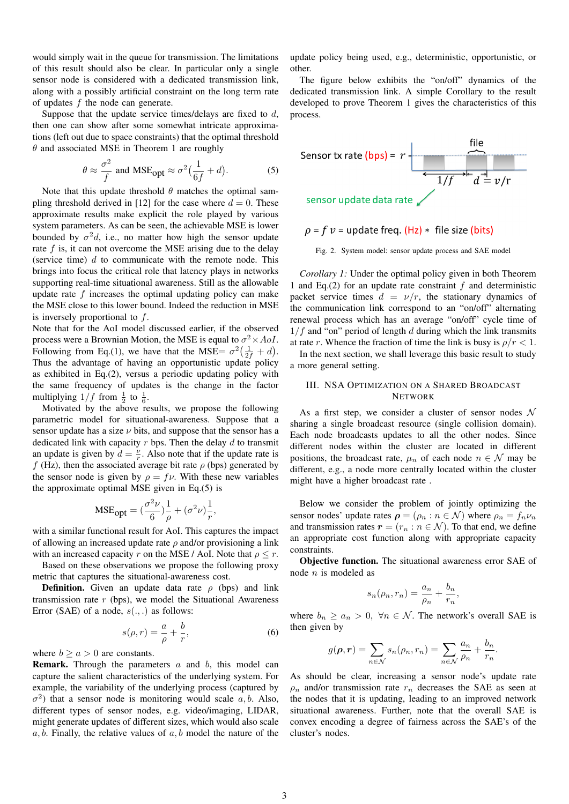would simply wait in the queue for transmission. The limitations of this result should also be clear. In particular only a single sensor node is considered with a dedicated transmission link, along with a possibly artificial constraint on the long term rate of updates  $f$  the node can generate.

Suppose that the update service times/delays are fixed to  $d$ , then one can show after some somewhat intricate approximations (left out due to space constraints) that the optimal threshold  $\theta$  and associated MSE in Theorem 1 are roughly

$$
\theta \approx \frac{\sigma^2}{f}
$$
 and MSE<sub>opt</sub>  $\approx \sigma^2 \left( \frac{1}{6f} + d \right)$ . (5)

Note that this update threshold  $\theta$  matches the optimal sampling threshold derived in [12] for the case where  $d = 0$ . These approximate results make explicit the role played by various system parameters. As can be seen, the achievable MSE is lower bounded by  $\sigma^2 d$ , i.e., no matter how high the sensor update rate  $f$  is, it can not overcome the MSE arising due to the delay (service time)  $d$  to communicate with the remote node. This brings into focus the critical role that latency plays in networks supporting real-time situational awareness. Still as the allowable update rate  $f$  increases the optimal updating policy can make the MSE close to this lower bound. Indeed the reduction in MSE is inversely proportional to  $f$ .

Note that for the AoI model discussed earlier, if the observed process were a Brownian Motion, the MSE is equal to  $\sigma^2 \times AoI$ . Following from Eq.(1), we have that the MSE=  $\sigma^2(\frac{1}{2f} + d)$ . Thus the advantage of having an opportunistic update policy as exhibited in Eq.(2), versus a periodic updating policy with the same frequency of updates is the change in the factor multiplying  $1/f$  from  $\frac{1}{2}$  to  $\frac{1}{6}$ .

Motivated by the above results, we propose the following parametric model for situational-awareness. Suppose that a sensor update has a size  $\nu$  bits, and suppose that the sensor has a dedicated link with capacity  $r$  bps. Then the delay  $d$  to transmit an update is given by  $d = \frac{v}{r}$ . Also note that if the update rate is f (Hz), then the associated average bit rate  $\rho$  (bps) generated by the sensor node is given by  $\rho = f \nu$ . With these new variables the approximate optimal MSE given in Eq.(5) is

$$
\text{MSE}_{\text{opt}} = (\frac{\sigma^2 \nu}{6})\frac{1}{\rho} + (\sigma^2 \nu)\frac{1}{r},
$$

with a similar functional result for AoI. This captures the impact of allowing an increased update rate  $\rho$  and/or provisioning a link with an increased capacity r on the MSE / AoI. Note that  $\rho \le r$ .

Based on these observations we propose the following proxy metric that captures the situational-awareness cost.

**Definition.** Given an update data rate  $\rho$  (bps) and link transmission rate  $r$  (bps), we model the Situational Awareness Error (SAE) of a node,  $s(.,.)$  as follows:

$$
s(\rho, r) = \frac{a}{\rho} + \frac{b}{r},\tag{6}
$$

where  $b > a > 0$  are constants.

**Remark.** Through the parameters  $a$  and  $b$ , this model can capture the salient characteristics of the underlying system. For example, the variability of the underlying process (captured by  $\sigma^2$ ) that a sensor node is monitoring would scale a, b. Also, different types of sensor nodes, e.g. video/imaging, LIDAR, might generate updates of different sizes, which would also scale  $a, b$ . Finally, the relative values of  $a, b$  model the nature of the

update policy being used, e.g., deterministic, opportunistic, or other.

The figure below exhibits the "on/off" dynamics of the dedicated transmission link. A simple Corollary to the result developed to prove Theorem 1 gives the characteristics of this process.



# $\rho = f v =$  update freq. (Hz)  $*$  file size (bits)

Fig. 2. System model: sensor update process and SAE model

*Corollary 1:* Under the optimal policy given in both Theorem 1 and Eq.(2) for an update rate constraint  $f$  and deterministic packet service times  $d = v/r$ , the stationary dynamics of the communication link correspond to an "on/off" alternating renewal process which has an average "on/off" cycle time of  $1/f$  and "on" period of length d during which the link transmits at rate r. Whence the fraction of time the link is busy is  $\rho/r < 1$ .

In the next section, we shall leverage this basic result to study a more general setting.

# III. NSA OPTIMIZATION ON A SHARED BROADCAST **NETWORK**

As a first step, we consider a cluster of sensor nodes  $\mathcal N$ sharing a single broadcast resource (single collision domain). Each node broadcasts updates to all the other nodes. Since different nodes within the cluster are located in different positions, the broadcast rate,  $\mu_n$  of each node  $n \in \mathcal{N}$  may be different, e.g., a node more centrally located within the cluster might have a higher broadcast rate .

Below we consider the problem of jointly optimizing the sensor nodes' update rates  $\rho = (\rho_n : n \in \mathcal{N})$  where  $\rho_n = f_n \nu_n$ and transmission rates  $r = (r_n : n \in \mathcal{N})$ . To that end, we define an appropriate cost function along with appropriate capacity constraints.

Objective function. The situational awareness error SAE of node n is modeled as

$$
s_n(\rho_n, r_n) = \frac{a_n}{\rho_n} + \frac{b_n}{r_n},
$$

where  $b_n \ge a_n > 0$ ,  $\forall n \in \mathcal{N}$ . The network's overall SAE is then given by

$$
g(\boldsymbol{\rho}, \boldsymbol{r}) = \sum_{n \in \mathcal{N}} s_n(\rho_n, r_n) = \sum_{n \in \mathcal{N}} \frac{a_n}{\rho_n} + \frac{b_n}{r_n}.
$$

As should be clear, increasing a sensor node's update rate  $\rho_n$  and/or transmission rate  $r_n$  decreases the SAE as seen at the nodes that it is updating, leading to an improved network situational awareness. Further, note that the overall SAE is convex encoding a degree of fairness across the SAE's of the cluster's nodes.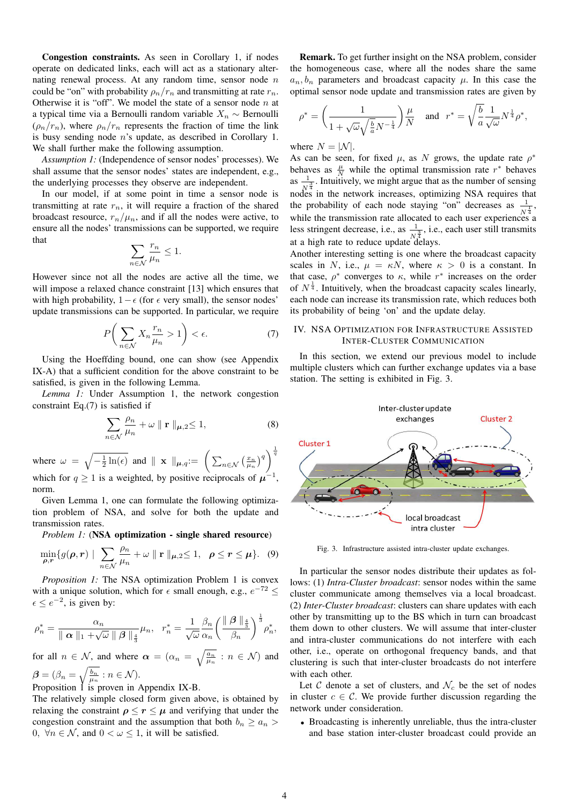Congestion constraints. As seen in Corollary 1, if nodes operate on dedicated links, each will act as a stationary alternating renewal process. At any random time, sensor node  $n$ could be "on" with probability  $\rho_n/r_n$  and transmitting at rate  $r_n$ . Otherwise it is "off". We model the state of a sensor node  $n$  at a typical time via a Bernoulli random variable  $X_n \sim$  Bernoulli  $(\rho_n/r_n)$ , where  $\rho_n/r_n$  represents the fraction of time the link is busy sending node n's update, as described in Corollary 1. We shall further make the following assumption.

*Assumption 1:* (Independence of sensor nodes' processes). We shall assume that the sensor nodes' states are independent, e.g., the underlying processes they observe are independent.

In our model, if at some point in time a sensor node is transmitting at rate  $r_n$ , it will require a fraction of the shared broadcast resource,  $r_n/\mu_n$ , and if all the nodes were active, to ensure all the nodes' transmissions can be supported, we require that

$$
\sum_{n \in \mathcal{N}} \frac{r_n}{\mu_n} \le 1.
$$

However since not all the nodes are active all the time, we will impose a relaxed chance constraint [13] which ensures that with high probability,  $1 - \epsilon$  (for  $\epsilon$  very small), the sensor nodes' update transmissions can be supported. In particular, we require

$$
P\bigg(\sum_{n\in\mathcal{N}}X_n\frac{r_n}{\mu_n}>1\bigg)<\epsilon.\tag{7}
$$

Using the Hoeffding bound, one can show (see Appendix IX-A) that a sufficient condition for the above constraint to be satisfied, is given in the following Lemma.

*Lemma 1:* Under Assumption 1, the network congestion constraint Eq.(7) is satisfied if

$$
\sum_{n \in \mathcal{N}} \frac{\rho_n}{\mu_n} + \omega \parallel \mathbf{r} \parallel_{\mu,2} \le 1,
$$
\n(8)

where  $\omega = \sqrt{-\frac{1}{2}\ln(\epsilon)}$  and  $\|\mathbf{x}\|_{\mu,q} := \left(\sum_{n \in \mathcal{N}} \left(\frac{x_n}{\mu_n}\right)^q\right)^{\frac{1}{q}}$ which for  $q \ge 1$  is a weighted, by positive reciprocals of  $\mu^{-1}$ , norm.

Given Lemma 1, one can formulate the following optimization problem of NSA, and solve for both the update and transmission rates.

*Problem 1:* (NSA optimization - single shared resource)

$$
\min_{\rho,r} \{ g(\rho,r) \mid \sum_{n \in \mathcal{N}} \frac{\rho_n}{\mu_n} + \omega \parallel \mathbf{r} \parallel_{\mu,2} \leq 1, \ \ \rho \leq r \leq \mu \}. \tag{9}
$$

*Proposition 1:* The NSA optimization Problem 1 is convex with a unique solution, which for  $\epsilon$  small enough, e.g.,  $e^{-72} \le$  $\epsilon \le e^{-2}$ , is given by:

$$
\rho_n^* = \frac{\alpha_n}{\parallel \alpha \parallel_1 + \sqrt{\omega} \parallel \beta \parallel_{\frac{4}{3}}} \mu_n, \quad r_n^* = \frac{1}{\sqrt{\omega}} \frac{\beta_n}{\alpha_n} \left( \frac{\parallel \beta \parallel_{\frac{4}{3}}}{\beta_n} \right)^{\frac{1}{3}} \rho_n^*,
$$

for all  $n \in \mathcal{N}$ , and where  $\alpha = (\alpha_n = \sqrt{\frac{a_n}{\mu_n}} : n \in \mathcal{N})$  and  $\boldsymbol{\beta} = (\beta_n = \sqrt{\frac{b_n}{\mu_n}}: n \in \mathcal{N}).$ 

Proposition 1 is proven in Appendix IX-B.

The relatively simple closed form given above, is obtained by relaxing the constraint  $\rho \le r \le \mu$  and verifying that under the congestion constraint and the assumption that both  $b_n \ge a_n$ 0,  $\forall n \in \mathcal{N}$ , and  $0 < \omega \leq 1$ , it will be satisfied.

Remark. To get further insight on the NSA problem, consider the homogeneous case, where all the nodes share the same  $a_n, b_n$  parameters and broadcast capacity  $\mu$ . In this case the optimal sensor node update and transmission rates are given by

$$
\rho^* = \left(\frac{1}{1+\sqrt{\omega}\sqrt{\frac{b}{a}}N^{-\frac{1}{4}}}\right)\frac{\mu}{N} \quad \text{and} \quad r^* = \sqrt{\frac{b}{a}}\frac{1}{\sqrt{\omega}}N^{\frac{1}{4}}\rho^*,
$$

where  $N = |\mathcal{N}|$ .

As can be seen, for fixed  $\mu$ , as N grows, the update rate  $\rho^*$ behaves as  $\frac{\mu}{N}$  while the optimal transmission rate  $r^*$  behaves as  $\frac{1}{\sqrt{3}}$ . Intuitively, we might argue that as the number of sensing nodes in the network increases, optimizing NSA requires that the probability of each node staying "on" decreases as  $\frac{1}{N^{\frac{1}{4}}}$ , while the transmission rate allocated to each user experiences a less stringent decrease, i.e., as  $\frac{1}{N_A^3}$ , i.e., each user still transmits at a high rate to reduce update delays.

Another interesting setting is one where the broadcast capacity scales in N, i.e.,  $\mu = \kappa N$ , where  $\kappa > 0$  is a constant. In that case,  $\rho^*$  converges to  $\kappa$ , while  $r^*$  increases on the order of  $N^{\frac{1}{4}}$ . Intuitively, when the broadcast capacity scales linearly, each node can increase its transmission rate, which reduces both its probability of being 'on' and the update delay.

## IV. NSA OPTIMIZATION FOR INFRASTRUCTURE ASSISTED INTER-CLUSTER COMMUNICATION

In this section, we extend our previous model to include multiple clusters which can further exchange updates via a base station. The setting is exhibited in Fig. 3.



Fig. 3. Infrastructure assisted intra-cluster update exchanges.

In particular the sensor nodes distribute their updates as follows: (1) *Intra-Cluster broadcast*: sensor nodes within the same cluster communicate among themselves via a local broadcast. (2) *Inter-Cluster broadcast*: clusters can share updates with each other by transmitting up to the BS which in turn can broadcast them down to other clusters. We will assume that inter-cluster and intra-cluster communications do not interfere with each other, i.e., operate on orthogonal frequency bands, and that clustering is such that inter-cluster broadcasts do not interfere with each other.

Let C denote a set of clusters, and  $\mathcal{N}_c$  be the set of nodes in cluster  $c \in \mathcal{C}$ . We provide further discussion regarding the network under consideration.

• Broadcasting is inherently unreliable, thus the intra-cluster and base station inter-cluster broadcast could provide an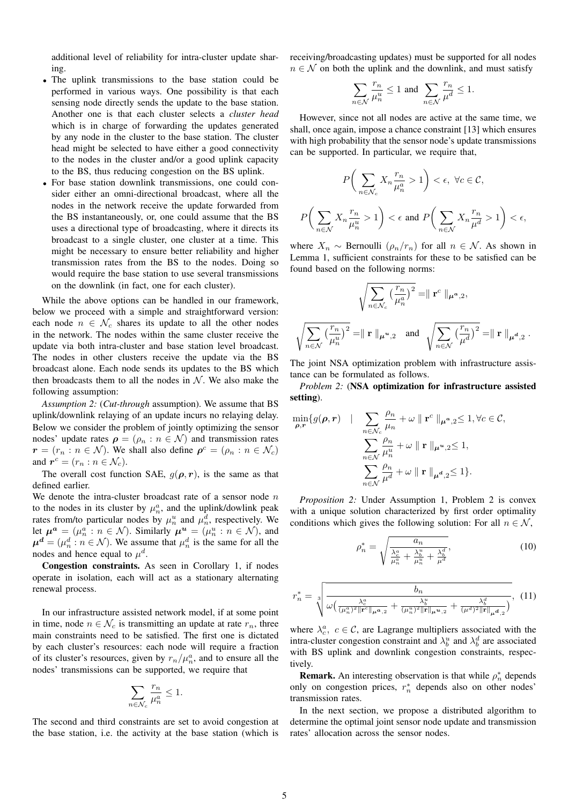additional level of reliability for intra-cluster update sharing.

- The uplink transmissions to the base station could be performed in various ways. One possibility is that each sensing node directly sends the update to the base station. Another one is that each cluster selects a *cluster head* which is in charge of forwarding the updates generated by any node in the cluster to the base station. The cluster head might be selected to have either a good connectivity to the nodes in the cluster and/or a good uplink capacity to the BS, thus reducing congestion on the BS uplink.
- For base station downlink transmissions, one could consider either an omni-directional broadcast, where all the nodes in the network receive the update forwarded from the BS instantaneously, or, one could assume that the BS uses a directional type of broadcasting, where it directs its broadcast to a single cluster, one cluster at a time. This might be necessary to ensure better reliability and higher transmission rates from the BS to the nodes. Doing so would require the base station to use several transmissions on the downlink (in fact, one for each cluster).

While the above options can be handled in our framework, below we proceed with a simple and straightforward version: each node  $n \in \mathcal{N}_c$  shares its update to all the other nodes in the network. The nodes within the same cluster receive the update via both intra-cluster and base station level broadcast. The nodes in other clusters receive the update via the BS broadcast alone. Each node sends its updates to the BS which then broadcasts them to all the nodes in  $N$ . We also make the following assumption:

*Assumption 2:* (*Cut-through* assumption). We assume that BS uplink/downlink relaying of an update incurs no relaying delay. Below we consider the problem of jointly optimizing the sensor nodes' update rates  $\rho = (\rho_n : n \in \mathcal{N})$  and transmission rates  $r = (r_n : n \in \mathcal{N})$ . We shall also define  $\rho^c = (\rho_n : n \in \mathcal{N}_c)$ and  $r^c = (r_n : n \in \mathcal{N}_c)$ .

The overall cost function SAE,  $g(\rho, r)$ , is the same as that defined earlier.

We denote the intra-cluster broadcast rate of a sensor node  $n$ to the nodes in its cluster by  $\mu_n^a$ , and the uplink/dowlink peak rates from/to particular nodes by  $\mu_n^u$  and  $\mu_n^d$ , respectively. We let  $\mu^a = (\mu_n^a : n \in \mathcal{N})$ . Similarly  $\mu^u = (\mu_n^u : n \in \mathcal{N})$ , and  $\mu^d = (\mu_n^d : n \in \mathcal{N})$ . We assume that  $\mu_n^d$  is the same for all the nodes and hence equal to  $\mu^d$ .

Congestion constraints. As seen in Corollary 1, if nodes operate in isolation, each will act as a stationary alternating renewal process.

In our infrastructure assisted network model, if at some point in time, node  $n \in \mathcal{N}_c$  is transmitting an update at rate  $r_n$ , three main constraints need to be satisfied. The first one is dictated by each cluster's resources: each node will require a fraction of its cluster's resources, given by  $r_n/\mu_n^a$ , and to ensure all the nodes' transmissions can be supported, we require that

$$
\sum_{n \in \mathcal{N}_c} \frac{r_n}{\mu_n^a} \le 1.
$$

The second and third constraints are set to avoid congestion at the base station, i.e. the activity at the base station (which is receiving/broadcasting updates) must be supported for all nodes  $n \in \mathcal{N}$  on both the uplink and the downlink, and must satisfy

$$
\sum_{n \in \mathcal{N}} \frac{r_n}{\mu_n^u} \le 1 \text{ and } \sum_{n \in \mathcal{N}} \frac{r_n}{\mu^d} \le 1.
$$

However, since not all nodes are active at the same time, we shall, once again, impose a chance constraint [13] which ensures with high probability that the sensor node's update transmissions can be supported. In particular, we require that,

$$
P\bigg(\sum_{n\in\mathcal{N}_c}X_n\frac{r_n}{\mu_n^a}>1\bigg)<\epsilon,\ \forall c\in\mathcal{C},
$$
  

$$
P\bigg(\sum_{n\in\mathcal{N}}X_n\frac{r_n}{\mu_n^u}>1\bigg)<\epsilon\ \text{and}\ P\bigg(\sum_{n\in\mathcal{N}}X_n\frac{r_n}{\mu^d}>1\bigg)<\epsilon,
$$

where  $X_n \sim$  Bernoulli  $(\rho_n/r_n)$  for all  $n \in \mathcal{N}$ . As shown in Lemma 1, sufficient constraints for these to be satisfied can be found based on the following norms:

$$
\sqrt{\sum_{n \in \mathcal{N}_c} \left(\frac{r_n}{\mu_n^a}\right)^2} = || \mathbf{r}^c ||_{\mu^a,2},
$$

$$
\sqrt{\sum_{n \in \mathcal{N}} \left(\frac{r_n}{\mu_n^u}\right)^2} = || \mathbf{r} ||_{\mu^u,2} \text{ and } \sqrt{\sum_{n \in \mathcal{N}} \left(\frac{r_n}{\mu^d}\right)^2} = || \mathbf{r} ||_{\mu^d,2}.
$$

The joint NSA optimization problem with infrastructure assistance can be formulated as follows.

*Problem 2:* (NSA optimization for infrastructure assisted setting).

$$
\min_{\rho, r} \{ g(\rho, r) \mid \sum_{n \in \mathcal{N}_c} \frac{\rho_n}{\mu_n} + \omega \parallel \mathbf{r}^c \parallel_{\mu^a, 2} \leq 1, \forall c \in \mathcal{C},
$$

$$
\sum_{n \in \mathcal{N}} \frac{\rho_n}{\mu_n^u} + \omega \parallel \mathbf{r} \parallel_{\mu^u, 2} \leq 1,
$$

$$
\sum_{n \in \mathcal{N}} \frac{\rho_n}{\mu^d} + \omega \parallel \mathbf{r} \parallel_{\mu^d, 2} \leq 1 \}.
$$

*Proposition 2:* Under Assumption 1, Problem 2 is convex with a unique solution characterized by first order optimality conditions which gives the following solution: For all  $n \in \mathcal{N}$ ,

$$
\rho_n^* = \sqrt{\frac{a_n}{\frac{\lambda_c^a}{\mu_n^a} + \frac{\lambda_b^u}{\mu_n^u} + \frac{\lambda_b^d}{\mu^d}}},\tag{10}
$$

$$
r_n^* = \sqrt[3]{\frac{b_n}{\omega\left(\frac{\lambda_c^a}{(\mu_n^a)^2 \|\mathbf{r}^c\|_{\mu^a,2}} + \frac{\lambda_b^u}{(\mu_n^u)^2 \|\mathbf{r}\|_{\mu^u,2}} + \frac{\lambda_b^d}{(\mu^d)^2 \|\mathbf{r}\|_{\mu^d,2}}\right)}}, (11)
$$

where  $\lambda_c^a$ ,  $c \in \mathcal{C}$ , are Lagrange multipliers associated with the intra-cluster congestion constraint and  $\lambda_b^u$  and  $\lambda_b^d$  are associated with BS uplink and downlink congestion constraints, respectively.

**Remark.** An interesting observation is that while  $\rho_n^*$  depends only on congestion prices,  $r_n^*$  depends also on other nodes' transmission rates.

In the next section, we propose a distributed algorithm to determine the optimal joint sensor node update and transmission rates' allocation across the sensor nodes.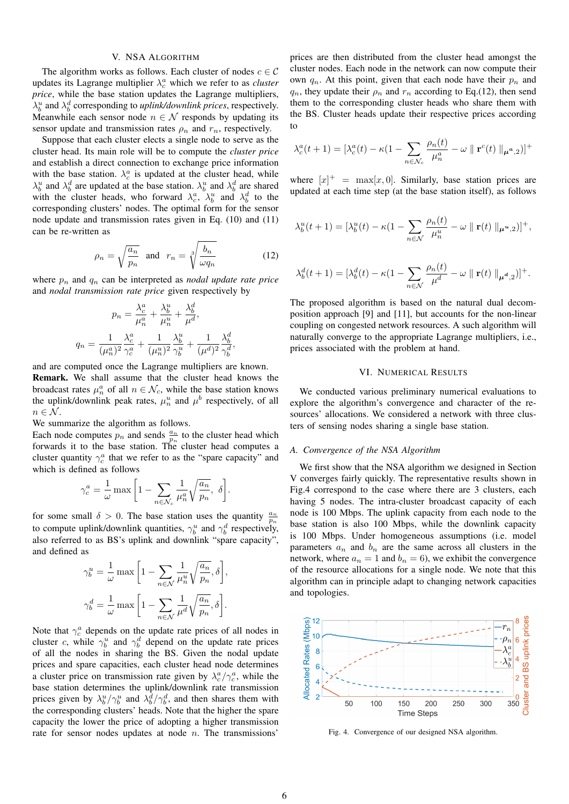# V. NSA ALGORITHM

The algorithm works as follows. Each cluster of nodes  $c \in \mathcal{C}$ updates its Lagrange multiplier  $\lambda_c^a$  which we refer to as *cluster price*, while the base station updates the Lagrange multipliers,  $\lambda_b^u$  and  $\lambda_b^d$  corresponding to *uplink/downlink prices*, respectively. Meanwhile each sensor node  $n \in \mathcal{N}$  responds by updating its sensor update and transmission rates  $\rho_n$  and  $r_n$ , respectively.

Suppose that each cluster elects a single node to serve as the cluster head. Its main role will be to compute the *cluster price* and establish a direct connection to exchange price information with the base station.  $\lambda_c^a$  is updated at the cluster head, while  $\lambda_b^u$  and  $\lambda_b^d$  are updated at the base station.  $\lambda_b^u$  and  $\lambda_b^d$  are shared with the cluster heads, who forward  $\lambda_c^a$ ,  $\lambda_b^u$  and  $\lambda_b^d$  to the corresponding clusters' nodes. The optimal form for the sensor node update and transmission rates given in Eq. (10) and (11) can be re-written as

$$
\rho_n = \sqrt{\frac{a_n}{p_n}} \quad \text{and} \quad r_n = \sqrt[3]{\frac{b_n}{\omega q_n}} \tag{12}
$$

where  $p_n$  and  $q_n$  can be interpreted as *nodal update rate price* and *nodal transmission rate price* given respectively by

$$
p_n = \frac{\lambda_c^a}{\mu_n^a} + \frac{\lambda_b^u}{\mu_n^u} + \frac{\lambda_b^d}{\mu^d},
$$

$$
q_n = \frac{1}{(\mu_n^a)^2} \frac{\lambda_c^a}{\gamma_c^a} + \frac{1}{(\mu_n^u)^2} \frac{\lambda_b^u}{\gamma_b^u} + \frac{1}{(\mu^d)^2} \frac{\lambda_b^d}{\gamma_b^d},
$$

and are computed once the Lagrange multipliers are known. Remark. We shall assume that the cluster head knows the broadcast rates  $\mu_n^a$  of all  $n \in \mathcal{N}_c$ , while the base station knows the uplink/downlink peak rates,  $\mu_n^u$  and  $\mu^b$  respectively, of all  $n \in \mathcal{N}$ .

We summarize the algorithm as follows.

Each node computes  $p_n$  and sends  $\frac{a_n}{p_n}$  to the cluster head which forwards it to the base station. The cluster head computes a cluster quantity  $\gamma_c^a$  that we refer to as the "spare capacity" and which is defined as follows

$$
\gamma_c^a = \frac{1}{\omega} \max \bigg[1 - \sum_{n \in \mathcal{N}_c} \frac{1}{\mu_n^a} \sqrt{\frac{a_n}{p_n}}, \delta \bigg].
$$

for some small  $\delta > 0$ . The base station uses the quantity  $\frac{a_n}{p_n}$ to compute uplink/downlink quantities,  $\gamma_b^u$  and  $\gamma_b^d$  respectively, also referred to as BS's uplink and downlink "spare capacity", and defined as

$$
\gamma_b^u = \frac{1}{\omega} \max \left[ 1 - \sum_{n \in \mathcal{N}} \frac{1}{\mu_n^u} \sqrt{\frac{a_n}{p_n}}, \delta \right],
$$
  

$$
\gamma_b^d = \frac{1}{\omega} \max \left[ 1 - \sum_{n \in \mathcal{N}} \frac{1}{\mu^d} \sqrt{\frac{a_n}{p_n}}, \delta \right].
$$

Note that  $\gamma_c^a$  depends on the update rate prices of all nodes in cluster c, while  $\gamma_b^u$  and  $\gamma_b^d$  depend on the update rate prices of all the nodes in sharing the BS. Given the nodal update prices and spare capacities, each cluster head node determines a cluster price on transmission rate given by  $\lambda_c^a / \gamma_c^a$ , while the base station determines the uplink/downlink rate transmission prices given by  $\lambda_b^u / \gamma_b^u$  and  $\lambda_b^d / \gamma_b^d$ , and then shares them with the corresponding clusters' heads. Note that the higher the spare capacity the lower the price of adopting a higher transmission rate for sensor nodes updates at node  $n$ . The transmissions'

prices are then distributed from the cluster head amongst the cluster nodes. Each node in the network can now compute their own  $q_n$ . At this point, given that each node have their  $p_n$  and  $q_n$ , they update their  $\rho_n$  and  $r_n$  according to Eq.(12), then send them to the corresponding cluster heads who share them with the BS. Cluster heads update their respective prices according to

$$
\lambda_c^a(t+1) = [\lambda_c^a(t) - \kappa(1 - \sum_{n \in \mathcal{N}_c} \frac{\rho_n(t)}{\mu_n^a} - \omega \parallel \mathbf{r}^c(t) \parallel_{\mu^a,2})]^+
$$

where  $[x]^+$  = max $[x, 0]$ . Similarly, base station prices are updated at each time step (at the base station itself), as follows

$$
\lambda_b^u(t+1) = \left[\lambda_b^u(t) - \kappa(1 - \sum_{n \in \mathcal{N}} \frac{\rho_n(t)}{\mu_n^u} - \omega \mid \mathbf{r}(t) \mid \mid \mu^u, 2\right)]^+,
$$

$$
\lambda_b^d(t+1) = \left[\lambda_b^d(t) - \kappa(1 - \sum_{n \in \mathcal{N}} \frac{\rho_n(t)}{\mu^d} - \omega \parallel \mathbf{r}(t) \parallel_{\mu^d,2})\right]^+.
$$

The proposed algorithm is based on the natural dual decomposition approach [9] and [11], but accounts for the non-linear coupling on congested network resources. A such algorithm will naturally converge to the appropriate Lagrange multipliers, i.e., prices associated with the problem at hand.

#### VI. NUMERICAL RESULTS

We conducted various preliminary numerical evaluations to explore the algorithm's convergence and character of the resources' allocations. We considered a network with three clusters of sensing nodes sharing a single base station.

### *A. Convergence of the NSA Algorithm*

We first show that the NSA algorithm we designed in Section V converges fairly quickly. The representative results shown in Fig.4 correspond to the case where there are 3 clusters, each having 5 nodes. The intra-cluster broadcast capacity of each node is 100 Mbps. The uplink capacity from each node to the base station is also 100 Mbps, while the downlink capacity is 100 Mbps. Under homogeneous assumptions (i.e. model parameters  $a_n$  and  $b_n$  are the same across all clusters in the network, where  $a_n = 1$  and  $b_n = 6$ ), we exhibit the convergence of the resource allocations for a single node. We note that this algorithm can in principle adapt to changing network capacities and topologies.



Fig. 4. Convergence of our designed NSA algorithm.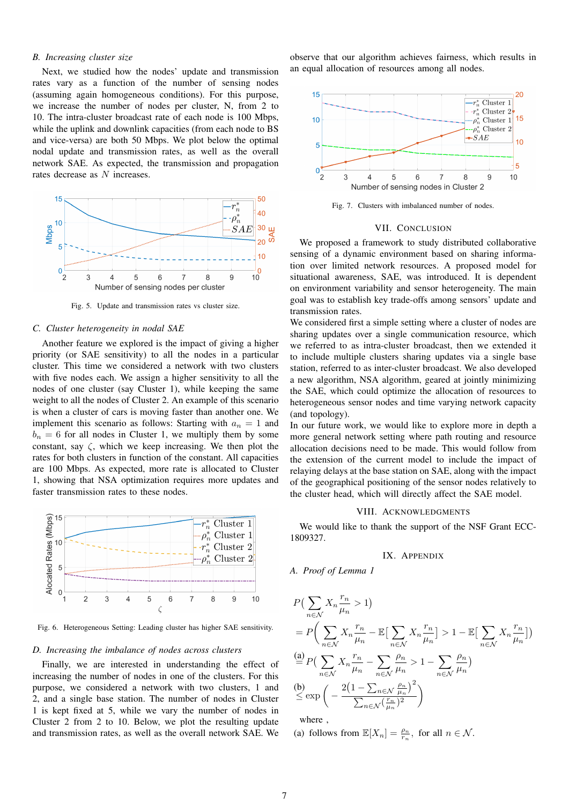#### *B. Increasing cluster size*

Next, we studied how the nodes' update and transmission rates vary as a function of the number of sensing nodes (assuming again homogeneous conditions). For this purpose, we increase the number of nodes per cluster, N, from 2 to 10. The intra-cluster broadcast rate of each node is 100 Mbps, while the uplink and downlink capacities (from each node to BS and vice-versa) are both 50 Mbps. We plot below the optimal nodal update and transmission rates, as well as the overall network SAE. As expected, the transmission and propagation rates decrease as N increases.



Fig. 5. Update and transmission rates vs cluster size.

#### *C. Cluster heterogeneity in nodal SAE*

Another feature we explored is the impact of giving a higher priority (or SAE sensitivity) to all the nodes in a particular cluster. This time we considered a network with two clusters with five nodes each. We assign a higher sensitivity to all the nodes of one cluster (say Cluster 1), while keeping the same weight to all the nodes of Cluster 2. An example of this scenario is when a cluster of cars is moving faster than another one. We implement this scenario as follows: Starting with  $a_n = 1$  and  $b_n = 6$  for all nodes in Cluster 1, we multiply them by some constant, say  $\zeta$ , which we keep increasing. We then plot the rates for both clusters in function of the constant. All capacities are 100 Mbps. As expected, more rate is allocated to Cluster 1, showing that NSA optimization requires more updates and faster transmission rates to these nodes.



Fig. 6. Heterogeneous Setting: Leading cluster has higher SAE sensitivity.

#### *D. Increasing the imbalance of nodes across clusters*

Finally, we are interested in understanding the effect of increasing the number of nodes in one of the clusters. For this purpose, we considered a network with two clusters, 1 and 2, and a single base station. The number of nodes in Cluster 1 is kept fixed at 5, while we vary the number of nodes in Cluster 2 from 2 to 10. Below, we plot the resulting update and transmission rates, as well as the overall network SAE. We

observe that our algorithm achieves fairness, which results in an equal allocation of resources among all nodes.



Fig. 7. Clusters with imbalanced number of nodes.

#### VII. CONCLUSION

We proposed a framework to study distributed collaborative sensing of a dynamic environment based on sharing information over limited network resources. A proposed model for situational awareness, SAE, was introduced. It is dependent on environment variability and sensor heterogeneity. The main goal was to establish key trade-offs among sensors' update and transmission rates.

We considered first a simple setting where a cluster of nodes are sharing updates over a single communication resource, which we referred to as intra-cluster broadcast, then we extended it to include multiple clusters sharing updates via a single base station, referred to as inter-cluster broadcast. We also developed a new algorithm, NSA algorithm, geared at jointly minimizing the SAE, which could optimize the allocation of resources to heterogeneous sensor nodes and time varying network capacity (and topology).

In our future work, we would like to explore more in depth a more general network setting where path routing and resource allocation decisions need to be made. This would follow from the extension of the current model to include the impact of relaying delays at the base station on SAE, along with the impact of the geographical positioning of the sensor nodes relatively to the cluster head, which will directly affect the SAE model.

#### VIII. ACKNOWLEDGMENTS

We would like to thank the support of the NSF Grant ECC-1809327.

# IX. APPENDIX

*A. Proof of Lemma 1*

$$
P\left(\sum_{n\in\mathcal{N}} X_n \frac{r_n}{\mu_n} > 1\right)
$$
\n
$$
= P\left(\sum_{n\in\mathcal{N}} X_n \frac{r_n}{\mu_n} - \mathbb{E}\left[\sum_{n\in\mathcal{N}} X_n \frac{r_n}{\mu_n}\right] > 1 - \mathbb{E}\left[\sum_{n\in\mathcal{N}} X_n \frac{r_n}{\mu_n}\right]\right)
$$
\n
$$
\stackrel{\text{(a)}}{=} P\left(\sum_{n\in\mathcal{N}} X_n \frac{r_n}{\mu_n} - \sum_{n\in\mathcal{N}} \frac{\rho_n}{\mu_n} > 1 - \sum_{n\in\mathcal{N}} \frac{\rho_n}{\mu_n}\right)
$$
\n
$$
\stackrel{\text{(b)}}{\leq} \exp\left(-\frac{2\left(1 - \sum_{n\in\mathcal{N}} \frac{\rho_n}{\mu_n}\right)^2}{\sum_{n\in\mathcal{N}} \left(\frac{r_n}{\mu_n}\right)^2}\right)
$$

where ,

(a) follows from  $\mathbb{E}[X_n] = \frac{\rho_n}{r_n}$ , for all  $n \in \mathcal{N}$ .